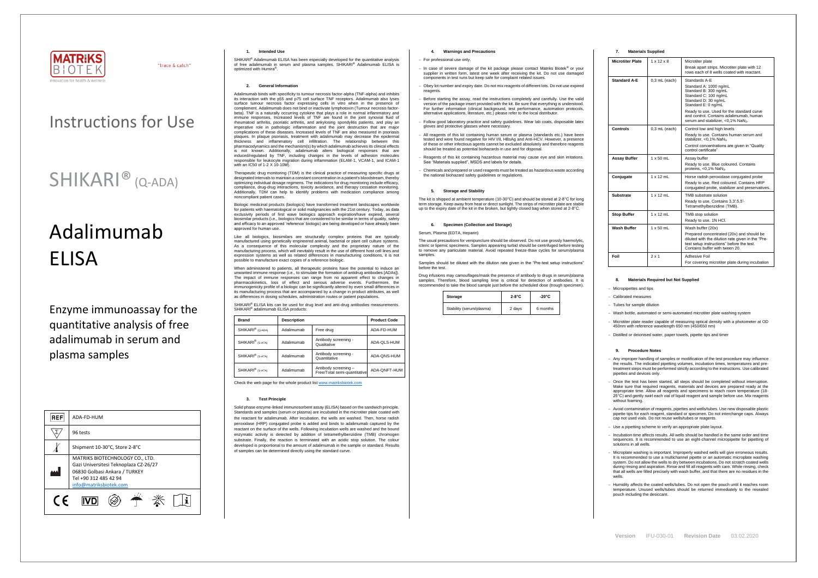

"trace & catch"

# Adalimumab **FLISA**

## Instructions for Use

## SHIKARI® (Q-ADA)

Enzyme immunoassay for the quantitative analysis of free adalimumab in serum and plasma samples

| <b>REF</b> | ADA-FD-HUM                                                                                                                                                   |  |  |  |
|------------|--------------------------------------------------------------------------------------------------------------------------------------------------------------|--|--|--|
|            | 96 tests                                                                                                                                                     |  |  |  |
|            | Shipment 10-30°C, Store 2-8°C                                                                                                                                |  |  |  |
|            | MATRIKS BIOTECHNOLOGY CO., LTD.<br>Gazi Universitesi Teknoplaza CZ-26/27<br>06830 Golbasi Ankara / TURKEY<br>Tel +90 312 485 42 94<br>info@matriksbiotek.com |  |  |  |
| $\epsilon$ |                                                                                                                                                              |  |  |  |

SHIKARI<sup>®</sup> Adalimumab ELISA has been especially developed for the quantitative analysis of free adalimumab in serum and plasma samples. SHIKARI® Adalimumab ELISA is optimized with Humira® .

#### **1. Intended Use**

#### **2. General Information**

Biologic medicinal products (biologics) have transformed treatment landscapes worldwide for patients with haematological or solid malignancies with the 21st century. Today, as data exclusivity periods of first wave biologics approach expiration/have expired, several biosimilar products (i.e., biologics that are considered to be similar in terms of quality, safety and efficacy to an approved 'reference' biologic) are being developed or have already been and smoor, is uman use.

Adalimumab binds with specificity to tumour necrosis factor-alpha (TNF-alpha) and inhibits its interaction with the p55 and p75 cell surface TNF receptors. Adalimumab also lyses surface tumour necrosis factor expressing cells in vitro when in the presence of complement. Adalimumab does not bind or inactivate lymphotoxin (Tumour necrosis factorbeta). TNF is a naturally occurring cytokine that plays a role in normal inflammatory and immune responses. Increased levels of TNF are found in the joint synovial fluid of rheumatoid arthritis, psoriatic arthritis, and ankylosing spondylitis patients, and play an imperative role in pathologic inflammation and the joint destruction that are major complications of these diseases. Increased levels of TNF are also measured in psoriasis plaques. In plaque psoriasis, treatment with adalimumab may decrease the epidermal thickness and inflammatory cell infiltration. The relationship between this pharmacodynamics and the mechanism(s) by which adalimumab achieves its clinical effects is not known. Additionally, adalimumab alters biological responses that are induced/regulated by TNF, including changes in the levels of adhesion molecules responsible for leukocyte migration during inflammation (ELAM-1, VCAM-1, and ICAM-1 with an IC50 of 1-2 X 10-10M).

SHIKARI® ELISA kits can be used for drug level and anti-drug antibodies measurements. SHIKARI® adalimumab ELISA products:

Therapeutic drug monitoring (TDM) is the clinical practice of measuring specific drugs at designated intervals to maintain a constant concentration in a patient's bloodstream, thereby optimizing individual dosage regimens. The indications for drug monitoring include efficacy, compliance, drug-drug interactions, toxicity avoidance, and therapy cessation monitoring. Additionally, TDM can help to identify problems with medication compliance among noncompliant patient cases.

Like all biologics, biosimilars are structurally complex proteins that are typically manufactured using genetically engineered animal, bacterial or plant cell culture systems. As a consequence of this molecular complexity and the proprietary nature of the manufacturing process, which will inevitably result in the use of different host cell lines and expression systems as well as related differences in manufacturing conditions, it is not possible to manufacture exact copies of a reference biologic.

The usual precautions for venipuncture should be observed. Do not use grossly haemolytic, icteric or lipemic specimens. Samples appearing turbid should be centrifuged before testing to remove any particulate material. Avoid repeated freeze-thaw cycles for serum/plasma samples

When administered to patients, all therapeutic proteins have the potential to induce an unwanted immune response (i.e., to stimulate the formation of antidrug antibodies [ADAs]). The impact of immune responses can range from no apparent effect to changes in pharmacokinetics, loss of effect and serious adverse events. Furthermore, the immunogenicity profile of a biologic can be significantly altered by even small differences in its manufacturing process that are accompanied by a change in product attributes, as well as differences in dosing schedules, administration routes or patient populations.

| <b>Brand</b>                 | <b>Description</b> | <b>Product Code</b>                                  |              |
|------------------------------|--------------------|------------------------------------------------------|--------------|
| SHIKARI <sup>®</sup> (Q-ADA) | Adalimumab         | Free drug                                            | ADA-FD-HUM   |
| SHIKARI <sup>®</sup> (S-ATA) | Adalimumab         | Antibody screening -<br>Qualitative                  | ADA-QLS-HUM  |
| SHIKARI <sup>®</sup> (S-ATA) | Adalimumab         | Antibody screening -<br>Quantitative                 | ADA-QNS-HUM  |
| SHIKARI <sup>®</sup> (S-ATA) | Adalimumab         | Antibody screening -<br>Free/Total semi-quantitative | ADA-QNFT-HUM |

Check the web page for the whole product lis[t www.matriksbiotek.com](http://www.matriksbiotek.com/)

#### **3. Test Principle**

Solid phase enzyme-linked immunosorbent assay (ELISA) based on the sandwich principle. Standards and samples (serum or plasma) are incubated in the microtiter plate coated with the reactant for adalimumab. After incubation, the wells are washed. Then, horse radish peroxidase (HRP) conjugated probe is added and binds to adalimumab captured by the reactant on the surface of the wells. Following incubation wells are washed and the bound enzymatic activity is detected by addition of tetramethylbenzidine (TMB) chromogen substrate. Finally, the reaction is terminated with an acidic stop solution. The colour developed is proportional to the amount of adalimumab in the sample or standard. Results of samples can be determined directly using the standard curve.

#### **4. Warnings and Precautions**

#### − For professional use only.

Microplate washing is important. Improperly washed wells will give erroneous results. It is recommended to use a multichannel pipette or an automatic microplate washing system. Do not allow the wells to dry between incubations. Do not scratch coated wells during rinsing and aspiration. Rinse and fill all reagents with care. While rinsing, check that all wells are filled precisely with wash buffer, and that there are no residues in the wells.

- − In case of severe damage of the kit package please contact Matriks Biotek® or your supplier in written form, latest one week after receiving the kit. Do not use damaged components in test runs but keep safe for complaint related issues.
- − Obey lot number and expiry date. Do not mix reagents of different lots. Do not use expired reagents
- Before starting the assay, read the instructions completely and carefully. Use the valid version of the package insert provided with the kit. Be sure that everything is understood. For further information (clinical background, test performance, automation protocols, alternative applications, literature, etc.) please refer to the local distributor.
- − Follow good laboratory practice and safety guidelines. Wear lab coats, disposable latex gloves and protective glasses where necessary.
- All reagents of this kit containing human serum or plasma (standards etc.) have been tested and were found negative for HIV I/II, HBsAg and Anti-HCV. However, a presence of these or other infectious agents cannot be excluded absolutely and therefore reagents should be treated as potential biohazards in use and for disposal.
- − Reagents of this kit containing hazardous material may cause eye and skin irritations. See "Materials supplied", MSDS and labels for details.
- − Chemicals and prepared or used reagents must be treated as hazardous waste according the national biohazard safety guidelines or regulations.

### **5. Storage and Stability**

The kit is shipped at ambient temperature (10-30°C) and should be stored at 2-8°C for long term storage. Keep away from heat or direct sunlight. The strips of microtiter plate are stable up to the expiry date of the kit in the broken, but tightly closed bag when stored at 2-8°C.

#### **6. Specimen (Collection and Storage)**

#### Serum, Plasma (EDTA, Heparin)

Samples should be diluted with the dilution rate given in the "Pre-test setup instructions" before the test.

Drug infusions may camouflages/mask the presence of antibody to drugs in serum/plasma samples. Therefore, blood sampling time is critical for detection of antibodies. It is recommended to take the blood sample just before the scheduled dose (trough specimen).

| Storage                  | $2-8^{\circ}C$ | $-20^{\circ}$ C |
|--------------------------|----------------|-----------------|
| Stability (serum/plasma) | 2 days         | 6 months        |

### **7. Materials Supplied**

| <b>Microtiter Plate</b> | $1 \times 12 \times 8$ | Microtiter plate                                                                                                                                                              |
|-------------------------|------------------------|-------------------------------------------------------------------------------------------------------------------------------------------------------------------------------|
|                         |                        | Break apart strips. Microtiter plate with 12<br>rows each of 8 wells coated with reactant.                                                                                    |
| <b>Standard A-E</b>     | $0.3$ mL (each)        | Standards A-E<br>Standard A: 1000 ng/mL                                                                                                                                       |
|                         |                        | Standard B: 300 ng/mL<br>Standard C: 100 ng/mL<br>Standard D: 30 ng/mL<br>Standard E: 0 ng/mL                                                                                 |
|                         |                        | Ready to use. Used for the standard curve<br>and control. Contains adalimumab, human<br>serum and stabilizer, <0,1% NaN <sub>3</sub> .                                        |
| Controls                | $0.3$ mL (each)        | Control low and high levels                                                                                                                                                   |
|                         |                        | Ready to use. Contains human serum and<br>stabilizer, <0,1% NaN <sub>3</sub> .                                                                                                |
|                         |                        | Control concentrations are given in "Quality<br>control certificate"                                                                                                          |
| Assay Buffer            | $1 \times 50$ mL       | Assay buffer                                                                                                                                                                  |
|                         |                        | Ready to use. Blue coloured. Contains<br>proteins, <0,1% NaN <sub>3</sub> .                                                                                                   |
| Conjugate               | $1 \times 12$ mL       | Horse radish peroxidase conjugated probe                                                                                                                                      |
|                         |                        | Ready to use. Red coloured. Contains HRP<br>conjugated probe, stabilizer and preservatives.                                                                                   |
| Substrate               | $1 \times 12$ mL       | TMB substrate solution                                                                                                                                                        |
|                         |                        | Ready to use. Contains 3,3',5,5'-<br>Tetramethylbenzidine (TMB).                                                                                                              |
| <b>Stop Buffer</b>      | $1 \times 12$ mL       | TMB stop solution                                                                                                                                                             |
|                         |                        | Ready to use. 1N HCl.                                                                                                                                                         |
| Wash Buffer             | $1 \times 50$ mL       | Wash buffer (20x)                                                                                                                                                             |
|                         |                        | Prepared concentrated (20x) and should be<br>diluted with the dilution rate given in the "Pre-<br>test setup instructions" before the test.<br>Contains buffer with tween 20. |
| Foil                    | $2 \times 1$           | Adhesive Foil                                                                                                                                                                 |
|                         |                        | For covering microtiter plate during incubation                                                                                                                               |

#### **8. Materials Required but Not Supplied**

− Micropipettes and tips

− Tubes for sample dilution

− Wash bottle, automated or semi-automated microtiter plate washing system

− Microtiter plate reader capable of measuring optical density with a photometer at OD 450nm with reference wavelength 650 nm (450/650 nm)

− Distilled or deionised water, paper towels, pipette tips and timer

#### **9. Procedure Notes**

− Any improper handling of samples or modification of the test procedure may influence the results. The indicated pipetting volumes, incubation times, temperatures and pretreatment steps must be performed strictly according to the instructions. Use calibrated pipettes and devices only.

− Once the test has been started, all steps should be completed without interruption. Make sure that required reagents, materials and devices are prepared ready at the appropriate time. Allow all reagents and specimens to reach room temperature (18- 25°C) and gently swirl each vial of liquid reagent and sample before use. Mix reagents without foaming.

− Avoid contamination of reagents, pipettes and wells/tubes. Use new disposable plastic pipette tips for each reagent, standard or specimen. Do not interchange caps. Always cap not used vials. Do not reuse wells/tubes or reagents.

− Use a pipetting scheme to verify an appropriate plate layout.

− Incubation time affects results. All wells should be handled in the same order and time sequences. It is recommended to use an eight-channel micropipette for pipetting of solutions in all wells.

− Humidity affects the coated wells/tubes. Do not open the pouch until it reaches room temperature. Unused wells/tubes should be returned immediately to the resealed pouch including the desiccant.